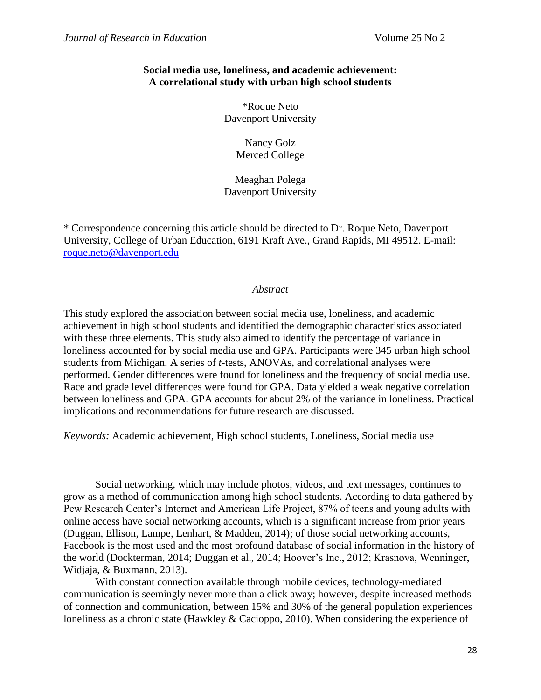## **Social media use, loneliness, and academic achievement: A correlational study with urban high school students**

\*Roque Neto Davenport University

> Nancy Golz Merced College

Meaghan Polega Davenport University

\* Correspondence concerning this article should be directed to Dr. Roque Neto, Davenport University, College of Urban Education, 6191 Kraft Ave., Grand Rapids, MI 49512. E-mail: [roque.neto@davenport.edu](mailto:roque.neto@davenport.edu)

## *Abstract*

This study explored the association between social media use, loneliness, and academic achievement in high school students and identified the demographic characteristics associated with these three elements. This study also aimed to identify the percentage of variance in loneliness accounted for by social media use and GPA. Participants were 345 urban high school students from Michigan. A series of *t*-tests, ANOVAs, and correlational analyses were performed. Gender differences were found for loneliness and the frequency of social media use. Race and grade level differences were found for GPA. Data yielded a weak negative correlation between loneliness and GPA. GPA accounts for about 2% of the variance in loneliness. Practical implications and recommendations for future research are discussed.

*Keywords:* Academic achievement, High school students, Loneliness, Social media use

Social networking, which may include photos, videos, and text messages, continues to grow as a method of communication among high school students. According to data gathered by Pew Research Center's Internet and American Life Project, 87% of teens and young adults with online access have social networking accounts, which is a significant increase from prior years (Duggan, Ellison, Lampe, Lenhart, & Madden, 2014); of those social networking accounts, Facebook is the most used and the most profound database of social information in the history of the world (Dockterman, 2014; Duggan et al., 2014; Hoover's Inc., 2012; Krasnova, Wenninger, Widjaja, & Buxmann, 2013).

With constant connection available through mobile devices, technology-mediated communication is seemingly never more than a click away; however, despite increased methods of connection and communication, between 15% and 30% of the general population experiences loneliness as a chronic state (Hawkley & Cacioppo, 2010). When considering the experience of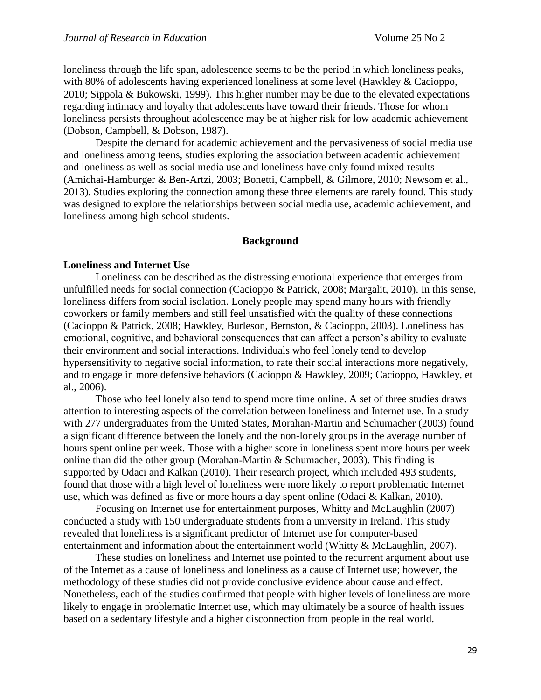loneliness through the life span, adolescence seems to be the period in which loneliness peaks, with 80% of adolescents having experienced loneliness at some level (Hawkley & Cacioppo, 2010; Sippola & Bukowski, 1999). This higher number may be due to the elevated expectations regarding intimacy and loyalty that adolescents have toward their friends. Those for whom loneliness persists throughout adolescence may be at higher risk for low academic achievement (Dobson, Campbell, & Dobson, 1987).

Despite the demand for academic achievement and the pervasiveness of social media use and loneliness among teens, studies exploring the association between academic achievement and loneliness as well as social media use and loneliness have only found mixed results (Amichai-Hamburger & Ben-Artzi, 2003; Bonetti, Campbell, & Gilmore, 2010; Newsom et al., 2013). Studies exploring the connection among these three elements are rarely found. This study was designed to explore the relationships between social media use, academic achievement, and loneliness among high school students.

#### **Background**

#### **Loneliness and Internet Use**

Loneliness can be described as the distressing emotional experience that emerges from unfulfilled needs for social connection (Cacioppo & Patrick, 2008; Margalit, 2010). In this sense, loneliness differs from social isolation. Lonely people may spend many hours with friendly coworkers or family members and still feel unsatisfied with the quality of these connections (Cacioppo & Patrick, 2008; Hawkley, Burleson, Bernston, & Cacioppo, 2003). Loneliness has emotional, cognitive, and behavioral consequences that can affect a person's ability to evaluate their environment and social interactions. Individuals who feel lonely tend to develop hypersensitivity to negative social information, to rate their social interactions more negatively, and to engage in more defensive behaviors (Cacioppo & Hawkley, 2009; Cacioppo, Hawkley, et al., 2006).

Those who feel lonely also tend to spend more time online. A set of three studies draws attention to interesting aspects of the correlation between loneliness and Internet use. In a study with 277 undergraduates from the United States, Morahan-Martin and Schumacher (2003) found a significant difference between the lonely and the non-lonely groups in the average number of hours spent online per week. Those with a higher score in loneliness spent more hours per week online than did the other group (Morahan-Martin & Schumacher, 2003). This finding is supported by Odaci and Kalkan (2010). Their research project, which included 493 students, found that those with a high level of loneliness were more likely to report problematic Internet use, which was defined as five or more hours a day spent online (Odaci & Kalkan, 2010).

Focusing on Internet use for entertainment purposes, Whitty and McLaughlin (2007) conducted a study with 150 undergraduate students from a university in Ireland. This study revealed that loneliness is a significant predictor of Internet use for computer-based entertainment and information about the entertainment world (Whitty & McLaughlin, 2007).

These studies on loneliness and Internet use pointed to the recurrent argument about use of the Internet as a cause of loneliness and loneliness as a cause of Internet use; however, the methodology of these studies did not provide conclusive evidence about cause and effect. Nonetheless, each of the studies confirmed that people with higher levels of loneliness are more likely to engage in problematic Internet use, which may ultimately be a source of health issues based on a sedentary lifestyle and a higher disconnection from people in the real world.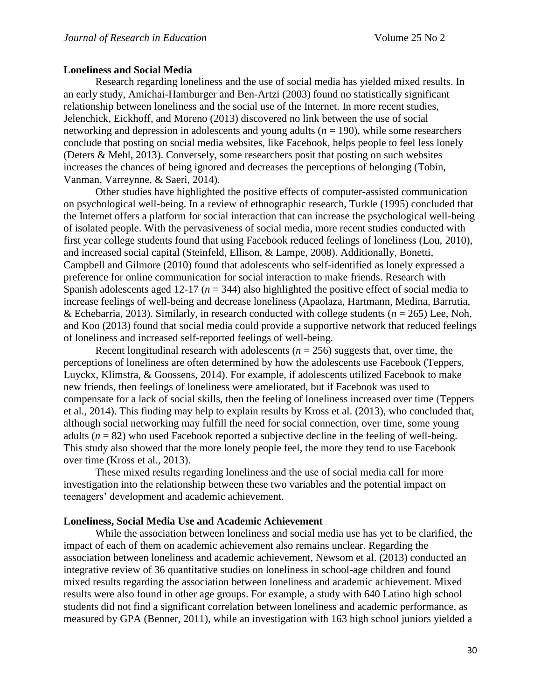#### **Loneliness and Social Media**

Research regarding loneliness and the use of social media has yielded mixed results. In an early study, Amichai-Hamburger and Ben-Artzi (2003) found no statistically significant relationship between loneliness and the social use of the Internet. In more recent studies, Jelenchick, Eickhoff, and Moreno (2013) discovered no link between the use of social networking and depression in adolescents and young adults (*n* = 190), while some researchers conclude that posting on social media websites, like Facebook, helps people to feel less lonely (Deters & Mehl, 2013). Conversely, some researchers posit that posting on such websites increases the chances of being ignored and decreases the perceptions of belonging (Tobin, Vanman, Varreynne, & Saeri, 2014).

Other studies have highlighted the positive effects of computer-assisted communication on psychological well-being. In a review of ethnographic research, Turkle (1995) concluded that the Internet offers a platform for social interaction that can increase the psychological well-being of isolated people. With the pervasiveness of social media, more recent studies conducted with first year college students found that using Facebook reduced feelings of loneliness (Lou, 2010), and increased social capital (Steinfeld, Ellison, & Lampe, 2008). Additionally, Bonetti, Campbell and Gilmore (2010) found that adolescents who self-identified as lonely expressed a preference for online communication for social interaction to make friends. Research with Spanish adolescents aged 12-17 (*n* = 344) also highlighted the positive effect of social media to increase feelings of well-being and decrease loneliness (Apaolaza, Hartmann, Medina, Barrutia, & Echebarria, 2013). Similarly, in research conducted with college students (*n* = 265) Lee, Noh, and Koo (2013) found that social media could provide a supportive network that reduced feelings of loneliness and increased self-reported feelings of well-being.

Recent longitudinal research with adolescents  $(n = 256)$  suggests that, over time, the perceptions of loneliness are often determined by how the adolescents use Facebook (Teppers, Luyckx, Klimstra, & Goossens, 2014). For example, if adolescents utilized Facebook to make new friends, then feelings of loneliness were ameliorated, but if Facebook was used to compensate for a lack of social skills, then the feeling of loneliness increased over time (Teppers et al., 2014). This finding may help to explain results by Kross et al. (2013), who concluded that, although social networking may fulfill the need for social connection, over time, some young adults  $(n = 82)$  who used Facebook reported a subjective decline in the feeling of well-being. This study also showed that the more lonely people feel, the more they tend to use Facebook over time (Kross et al., 2013).

These mixed results regarding loneliness and the use of social media call for more investigation into the relationship between these two variables and the potential impact on teenagers' development and academic achievement.

#### **Loneliness, Social Media Use and Academic Achievement**

While the association between loneliness and social media use has yet to be clarified, the impact of each of them on academic achievement also remains unclear. Regarding the association between loneliness and academic achievement, Newsom et al. (2013) conducted an integrative review of 36 quantitative studies on loneliness in school-age children and found mixed results regarding the association between loneliness and academic achievement. Mixed results were also found in other age groups. For example, a study with 640 Latino high school students did not find a significant correlation between loneliness and academic performance, as measured by GPA (Benner, 2011), while an investigation with 163 high school juniors yielded a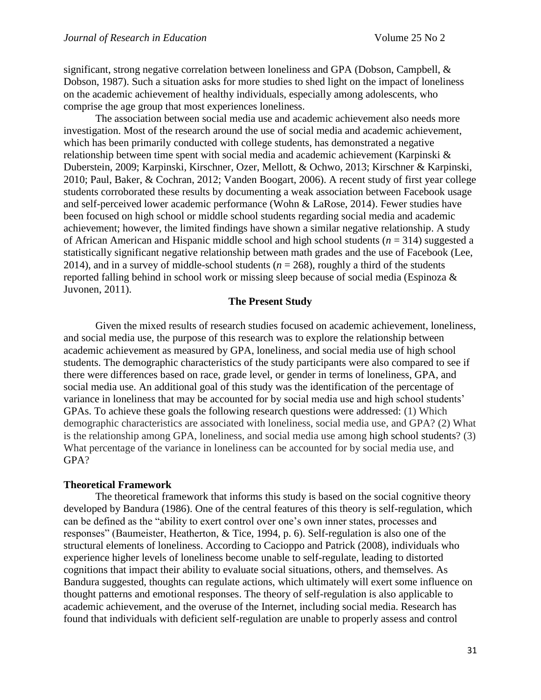significant, strong negative correlation between loneliness and GPA (Dobson, Campbell, & Dobson, 1987). Such a situation asks for more studies to shed light on the impact of loneliness on the academic achievement of healthy individuals, especially among adolescents, who comprise the age group that most experiences loneliness.

The association between social media use and academic achievement also needs more investigation. Most of the research around the use of social media and academic achievement, which has been primarily conducted with college students, has demonstrated a negative relationship between time spent with social media and academic achievement (Karpinski & Duberstein, 2009; Karpinski, Kirschner, Ozer, Mellott, & Ochwo, 2013; Kirschner & Karpinski, 2010; Paul, Baker, & Cochran, 2012; Vanden Boogart, 2006). A recent study of first year college students corroborated these results by documenting a weak association between Facebook usage and self-perceived lower academic performance (Wohn & LaRose, 2014). Fewer studies have been focused on high school or middle school students regarding social media and academic achievement; however, the limited findings have shown a similar negative relationship. A study of African American and Hispanic middle school and high school students (*n* = 314) suggested a statistically significant negative relationship between math grades and the use of Facebook (Lee, 2014), and in a survey of middle-school students ( $n = 268$ ), roughly a third of the students reported falling behind in school work or missing sleep because of social media (Espinoza & Juvonen, 2011).

## **The Present Study**

Given the mixed results of research studies focused on academic achievement, loneliness, and social media use, the purpose of this research was to explore the relationship between academic achievement as measured by GPA, loneliness, and social media use of high school students. The demographic characteristics of the study participants were also compared to see if there were differences based on race, grade level, or gender in terms of loneliness, GPA, and social media use. An additional goal of this study was the identification of the percentage of variance in loneliness that may be accounted for by social media use and high school students' GPAs. To achieve these goals the following research questions were addressed: (1) Which demographic characteristics are associated with loneliness, social media use, and GPA? (2) What is the relationship among GPA, loneliness, and social media use among high school students? (3) What percentage of the variance in loneliness can be accounted for by social media use, and GPA?

#### **Theoretical Framework**

The theoretical framework that informs this study is based on the social cognitive theory developed by Bandura (1986). One of the central features of this theory is self-regulation, which can be defined as the "ability to exert control over one's own inner states, processes and responses" (Baumeister, Heatherton, & Tice, 1994, p. 6). Self-regulation is also one of the structural elements of loneliness. According to Cacioppo and Patrick (2008), individuals who experience higher levels of loneliness become unable to self-regulate, leading to distorted cognitions that impact their ability to evaluate social situations, others, and themselves. As Bandura suggested, thoughts can regulate actions, which ultimately will exert some influence on thought patterns and emotional responses. The theory of self-regulation is also applicable to academic achievement, and the overuse of the Internet, including social media. Research has found that individuals with deficient self-regulation are unable to properly assess and control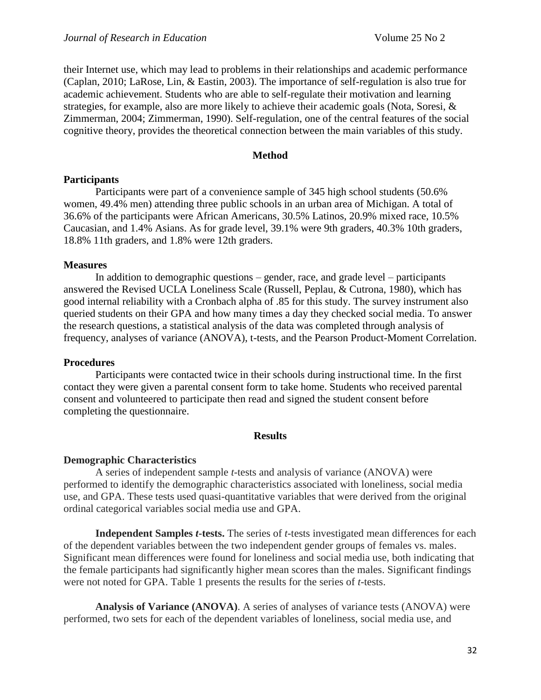their Internet use, which may lead to problems in their relationships and academic performance (Caplan, 2010; LaRose, Lin, & Eastin, 2003). The importance of self-regulation is also true for academic achievement. Students who are able to self-regulate their motivation and learning strategies, for example, also are more likely to achieve their academic goals (Nota, Soresi, & Zimmerman, 2004; Zimmerman, 1990). Self-regulation, one of the central features of the social cognitive theory, provides the theoretical connection between the main variables of this study.

## **Method**

#### **Participants**

Participants were part of a convenience sample of 345 high school students (50.6% women, 49.4% men) attending three public schools in an urban area of Michigan. A total of 36.6% of the participants were African Americans, 30.5% Latinos, 20.9% mixed race, 10.5% Caucasian, and 1.4% Asians. As for grade level, 39.1% were 9th graders, 40.3% 10th graders, 18.8% 11th graders, and 1.8% were 12th graders.

#### **Measures**

In addition to demographic questions – gender, race, and grade level – participants answered the Revised UCLA Loneliness Scale (Russell, Peplau, & Cutrona, 1980), which has good internal reliability with a Cronbach alpha of .85 for this study. The survey instrument also queried students on their GPA and how many times a day they checked social media. To answer the research questions, a statistical analysis of the data was completed through analysis of frequency, analyses of variance (ANOVA), t-tests, and the Pearson Product-Moment Correlation.

## **Procedures**

Participants were contacted twice in their schools during instructional time. In the first contact they were given a parental consent form to take home. Students who received parental consent and volunteered to participate then read and signed the student consent before completing the questionnaire.

#### **Results**

## **Demographic Characteristics**

A series of independent sample *t*-tests and analysis of variance (ANOVA) were performed to identify the demographic characteristics associated with loneliness, social media use, and GPA. These tests used quasi-quantitative variables that were derived from the original ordinal categorical variables social media use and GPA.

**Independent Samples** *t***-tests.** The series of *t*-tests investigated mean differences for each of the dependent variables between the two independent gender groups of females vs. males. Significant mean differences were found for loneliness and social media use, both indicating that the female participants had significantly higher mean scores than the males. Significant findings were not noted for GPA. Table 1 presents the results for the series of *t*-tests.

**Analysis of Variance (ANOVA)**. A series of analyses of variance tests (ANOVA) were performed, two sets for each of the dependent variables of loneliness, social media use, and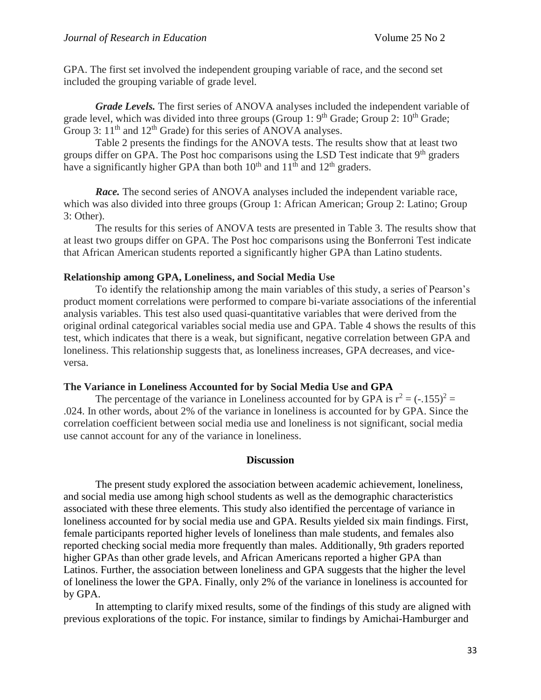GPA. The first set involved the independent grouping variable of race*,* and the second set included the grouping variable of grade level*.*

*Grade Levels.* The first series of ANOVA analyses included the independent variable of grade level, which was divided into three groups (Group 1:  $9<sup>th</sup>$  Grade; Group 2:  $10<sup>th</sup>$  Grade; Group 3:  $11<sup>th</sup>$  and  $12<sup>th</sup>$  Grade) for this series of ANOVA analyses.

Table 2 presents the findings for the ANOVA tests. The results show that at least two groups differ on GPA. The Post hoc comparisons using the LSD Test indicate that  $9<sup>th</sup>$  graders have a significantly higher GPA than both  $10^{th}$  and  $11^{th}$  and  $12^{th}$  graders.

*Race.* The second series of ANOVA analyses included the independent variable race, which was also divided into three groups (Group 1: African American; Group 2: Latino; Group 3: Other).

The results for this series of ANOVA tests are presented in Table 3. The results show that at least two groups differ on GPA. The Post hoc comparisons using the Bonferroni Test indicate that African American students reported a significantly higher GPA than Latino students.

## **Relationship among GPA, Loneliness, and Social Media Use**

To identify the relationship among the main variables of this study, a series of Pearson's product moment correlations were performed to compare bi-variate associations of the inferential analysis variables. This test also used quasi-quantitative variables that were derived from the original ordinal categorical variables social media use and GPA. Table 4 shows the results of this test, which indicates that there is a weak, but significant, negative correlation between GPA and loneliness. This relationship suggests that, as loneliness increases, GPA decreases, and viceversa.

## **The Variance in Loneliness Accounted for by Social Media Use and GPA**

The percentage of the variance in Loneliness accounted for by GPA is  $r^2 = (-155)^2 =$ .024. In other words, about 2% of the variance in loneliness is accounted for by GPA. Since the correlation coefficient between social media use and loneliness is not significant, social media use cannot account for any of the variance in loneliness.

## **Discussion**

The present study explored the association between academic achievement, loneliness, and social media use among high school students as well as the demographic characteristics associated with these three elements. This study also identified the percentage of variance in loneliness accounted for by social media use and GPA. Results yielded six main findings. First, female participants reported higher levels of loneliness than male students, and females also reported checking social media more frequently than males. Additionally, 9th graders reported higher GPAs than other grade levels, and African Americans reported a higher GPA than Latinos. Further, the association between loneliness and GPA suggests that the higher the level of loneliness the lower the GPA. Finally, only 2% of the variance in loneliness is accounted for by GPA.

In attempting to clarify mixed results, some of the findings of this study are aligned with previous explorations of the topic. For instance, similar to findings by Amichai-Hamburger and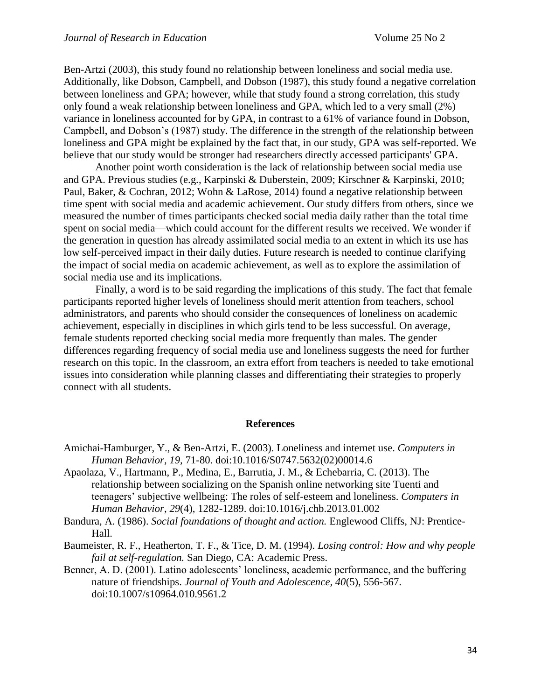Ben-Artzi (2003), this study found no relationship between loneliness and social media use. Additionally, like Dobson, Campbell, and Dobson (1987), this study found a negative correlation between loneliness and GPA; however, while that study found a strong correlation, this study only found a weak relationship between loneliness and GPA, which led to a very small (2%) variance in loneliness accounted for by GPA, in contrast to a 61% of variance found in Dobson, Campbell, and Dobson's (1987) study. The difference in the strength of the relationship between loneliness and GPA might be explained by the fact that, in our study, GPA was self-reported. We believe that our study would be stronger had researchers directly accessed participants' GPA.

Another point worth consideration is the lack of relationship between social media use and GPA. Previous studies (e.g., Karpinski & Duberstein, 2009; Kirschner & Karpinski, 2010; Paul, Baker, & Cochran, 2012; Wohn & LaRose, 2014) found a negative relationship between time spent with social media and academic achievement. Our study differs from others, since we measured the number of times participants checked social media daily rather than the total time spent on social media—which could account for the different results we received. We wonder if the generation in question has already assimilated social media to an extent in which its use has low self-perceived impact in their daily duties. Future research is needed to continue clarifying the impact of social media on academic achievement, as well as to explore the assimilation of social media use and its implications.

Finally, a word is to be said regarding the implications of this study. The fact that female participants reported higher levels of loneliness should merit attention from teachers, school administrators, and parents who should consider the consequences of loneliness on academic achievement, especially in disciplines in which girls tend to be less successful. On average, female students reported checking social media more frequently than males. The gender differences regarding frequency of social media use and loneliness suggests the need for further research on this topic. In the classroom, an extra effort from teachers is needed to take emotional issues into consideration while planning classes and differentiating their strategies to properly connect with all students.

#### **References**

- Amichai-Hamburger, Y., & Ben-Artzi, E. (2003). Loneliness and internet use. *Computers in Human Behavior, 19,* 71-80. doi:10.1016/S0747.5632(02)00014.6
- Apaolaza, V., Hartmann, P., Medina, E., Barrutia, J. M., & Echebarria, C. (2013). The relationship between socializing on the Spanish online networking site Tuenti and teenagers' subjective wellbeing: The roles of self-esteem and loneliness. *Computers in Human Behavior*, *29*(4), 1282-1289. doi:10.1016/j.chb.2013.01.002
- Bandura, A. (1986). *Social foundations of thought and action.* Englewood Cliffs, NJ: Prentice-Hall.
- Baumeister, R. F., Heatherton, T. F., & Tice, D. M. (1994). *Losing control: How and why people fail at self-regulation.* San Diego, CA: Academic Press.
- Benner, A. D. (2001). Latino adolescents' loneliness, academic performance, and the buffering nature of friendships. *Journal of Youth and Adolescence, 40*(5), 556-567. doi:10.1007/s10964.010.9561.2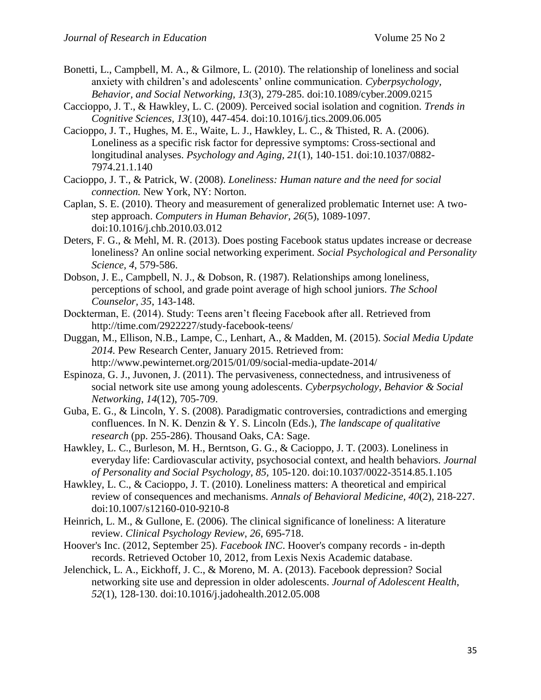- Bonetti, L., Campbell, M. A., & Gilmore, L. (2010). The relationship of loneliness and social anxiety with children's and adolescents' online communication. *Cyberpsychology, Behavior, and Social Networking, 13*(3), 279-285. doi:10.1089/cyber.2009.0215
- Caccioppo, J. T., & Hawkley, L. C. (2009). Perceived social isolation and cognition. *Trends in Cognitive Sciences, 13*(10), 447-454. doi:10.1016/j.tics.2009.06.005
- Cacioppo, J. T., Hughes, M. E., Waite, L. J., Hawkley, L. C., & Thisted, R. A. (2006). Loneliness as a specific risk factor for depressive symptoms: Cross-sectional and longitudinal analyses. *Psychology and Aging, 21*(1), 140-151. doi:10.1037/0882- 7974.21.1.140
- Cacioppo, J. T., & Patrick, W. (2008). *Loneliness: Human nature and the need for social connection.* New York, NY: Norton.
- Caplan, S. E. (2010). Theory and measurement of generalized problematic Internet use: A twostep approach. *Computers in Human Behavior, 26*(5), 1089-1097. doi:10.1016/j.chb.2010.03.012
- Deters, F. G., & Mehl, M. R. (2013). Does posting Facebook status updates increase or decrease loneliness? An online social networking experiment. *Social Psychological and Personality Science, 4*, 579-586.
- Dobson, J. E., Campbell, N. J., & Dobson, R. (1987). Relationships among loneliness, perceptions of school, and grade point average of high school juniors. *The School Counselor, 35*, 143-148.
- Dockterman, E. (2014). Study: Teens aren't fleeing Facebook after all. Retrieved from http://time.com/2922227/study-facebook-teens/
- Duggan, M., Ellison, N.B., Lampe, C., Lenhart, A., & Madden, M. (2015). *Social Media Update 2014.* Pew Research Center, January 2015. Retrieved from: http://www.pewinternet.org/2015/01/09/social-media-update-2014/
- Espinoza, G. J., Juvonen, J. (2011). The pervasiveness, connectedness, and intrusiveness of social network site use among young adolescents. *Cyberpsychology, Behavior & Social Networking*, *14*(12), 705-709.
- Guba, E. G., & Lincoln, Y. S. (2008). Paradigmatic controversies, contradictions and emerging confluences. In N. K. Denzin & Y. S. Lincoln (Eds.), *The landscape of qualitative research* (pp. 255-286). Thousand Oaks, CA: Sage.
- Hawkley, L. C., Burleson, M. H., Berntson, G. G., & Cacioppo, J. T. (2003). Loneliness in everyday life: Cardiovascular activity, psychosocial context, and health behaviors. *Journal of Personality and Social Psychology, 85,* 105-120. doi:10.1037/0022-3514.85.1.105
- Hawkley, L. C., & Cacioppo, J. T. (2010). Loneliness matters: A theoretical and empirical review of consequences and mechanisms. *Annals of Behavioral Medicine, 40*(2), 218-227. doi:10.1007/s12160-010-9210-8
- Heinrich, L. M., & Gullone, E. (2006). The clinical significance of loneliness: A literature review. *Clinical Psychology Review*, *26*, 695-718.
- Hoover's Inc. (2012, September 25). *Facebook INC*. Hoover's company records in-depth records. Retrieved October 10, 2012, from Lexis Nexis Academic database.
- Jelenchick, L. A., Eickhoff, J. C., & Moreno, M. A. (2013). Facebook depression? Social networking site use and depression in older adolescents. *Journal of Adolescent Health*, *52*(1), 128-130. doi:10.1016/j.jadohealth.2012.05.008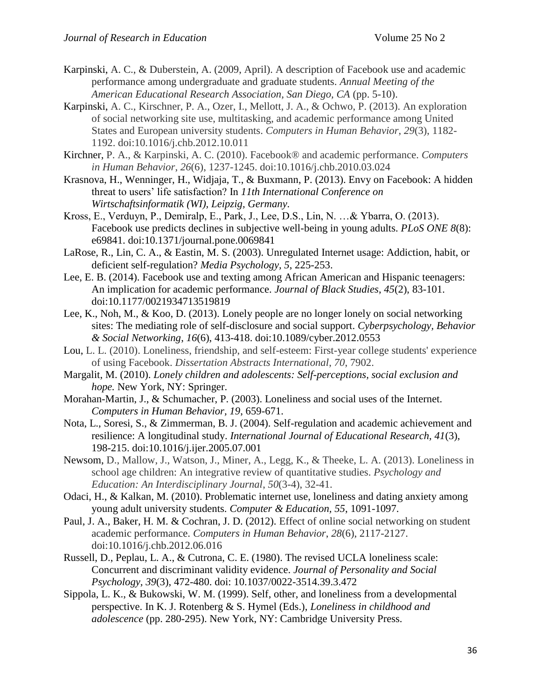- Karpinski, A. C., & Duberstein, A. (2009, April). A description of Facebook use and academic performance among undergraduate and graduate students. *Annual Meeting of the American Educational Research Association, San Diego, CA* (pp. 5-10).
- Karpinski, A. C., Kirschner, P. A., Ozer, I., Mellott, J. A., & Ochwo, P. (2013). An exploration of social networking site use, multitasking, and academic performance among United States and European university students. *Computers in Human Behavior*, *29*(3), 1182- 1192. doi:10.1016/j.chb.2012.10.011
- Kirchner, P. A., & Karpinski, A. C. (2010). Facebook® and academic performance. *Computers in Human Behavior*, *26*(6), 1237-1245. doi:10.1016/j.chb.2010.03.024
- Krasnova, H., Wenninger, H., Widjaja, T., & Buxmann, P. (2013). Envy on Facebook: A hidden threat to users' life satisfaction? In *11th International Conference on Wirtschaftsinformatik (WI), Leipzig, Germany.*
- Kross, E., Verduyn, P., Demiralp, E., Park, J., Lee, D.S., Lin, N. …& Ybarra, O. (2013). Facebook use predicts declines in subjective well-being in young adults. *PLoS ONE 8*(8): e69841. doi:10.1371/journal.pone.0069841
- LaRose, R., Lin, C. A., & Eastin, M. S. (2003). Unregulated Internet usage: Addiction, habit, or deficient self-regulation? *Media Psychology, 5*, 225-253.
- Lee, E. B. (2014). Facebook use and texting among African American and Hispanic teenagers: An implication for academic performance. *Journal of Black Studies*, *45*(2), 83-101. doi:10.1177/0021934713519819
- Lee, K., Noh, M., & Koo, D. (2013). Lonely people are no longer lonely on social networking sites: The mediating role of self-disclosure and social support. *Cyberpsychology, Behavior & Social Networking*, *16*(6), 413-418. doi:10.1089/cyber.2012.0553
- Lou, L. L. (2010). Loneliness, friendship, and self-esteem: First-year college students' experience of using Facebook. *Dissertation Abstracts International*, *70*, 7902.
- Margalit, M. (2010). *Lonely children and adolescents: Self-perceptions, social exclusion and hope.* New York, NY: Springer.
- Morahan-Martin, J., & Schumacher, P. (2003). Loneliness and social uses of the Internet. *Computers in Human Behavior, 19*, 659-671.
- Nota, L., Soresi, S., & Zimmerman, B. J. (2004). Self-regulation and academic achievement and resilience: A longitudinal study. *International Journal of Educational Research, 41*(3), 198-215. doi:10.1016/j.ijer.2005.07.001
- Newsom, D., Mallow, J., Watson, J., Miner, A., Legg, K., & Theeke, L. A. (2013). Loneliness in school age children: An integrative review of quantitative studies. *Psychology and Education: An Interdisciplinary Journal*, *50*(3-4), 32-41.
- Odaci, H., & Kalkan, M. (2010). Problematic internet use, loneliness and dating anxiety among young adult university students. *Computer & Education, 55*, 1091-1097.
- Paul, J. A., Baker, H. M. & Cochran, J. D. (2012). Effect of online social networking on student academic performance. *Computers in Human Behavior*, *28*(6), 2117-2127. doi:10.1016/j.chb.2012.06.016
- Russell, D., Peplau, L. A., & Cutrona, C. E. (1980). The revised UCLA loneliness scale: Concurrent and discriminant validity evidence. *Journal of Personality and Social Psychology, 39*(3), 472-480. doi: 10.1037/0022-3514.39.3.472
- Sippola, L. K., & Bukowski, W. M. (1999). Self, other, and loneliness from a developmental perspective. In K. J. Rotenberg & S. Hymel (Eds.), *Loneliness in childhood and adolescence* (pp. 280-295). New York, NY: Cambridge University Press.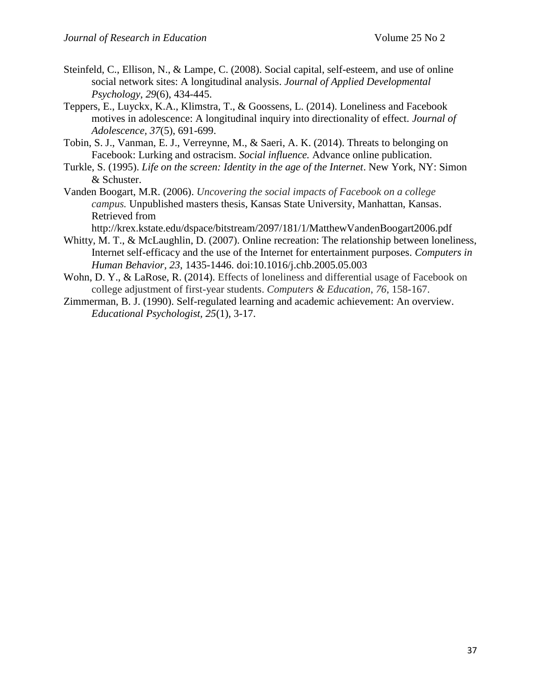- Steinfeld, C., Ellison, N., & Lampe, C. (2008). Social capital, self-esteem, and use of online social network sites: A longitudinal analysis. *Journal of Applied Developmental Psychology*, *29*(6), 434-445.
- Teppers, E., Luyckx, K.A., Klimstra, T., & Goossens, L. (2014). Loneliness and Facebook motives in adolescence: A longitudinal inquiry into directionality of effect. *Journal of Adolescence, 37*(5), 691-699.
- Tobin, S. J., Vanman, E. J., Verreynne, M., & Saeri, A. K. (2014). Threats to belonging on Facebook: Lurking and ostracism. *Social influence.* Advance online publication.
- Turkle, S. (1995). *Life on the screen: Identity in the age of the Internet*. New York, NY: Simon & Schuster.
- Vanden Boogart, M.R. (2006). *Uncovering the social impacts of Facebook on a college campus.* Unpublished masters thesis, Kansas State University, Manhattan, Kansas. Retrieved from

http://krex.kstate.edu/dspace/bitstream/2097/181/1/MatthewVandenBoogart2006.pdf

- Whitty, M. T., & McLaughlin, D. (2007). Online recreation: The relationship between loneliness, Internet self-efficacy and the use of the Internet for entertainment purposes. *Computers in Human Behavior, 23*, 1435-1446. doi:10.1016/j.chb.2005.05.003
- Wohn, D. Y., & LaRose, R. (2014). Effects of loneliness and differential usage of Facebook on college adjustment of first-year students. *Computers & Education*, *76*, 158-167.
- Zimmerman, B. J. (1990). Self-regulated learning and academic achievement: An overview. *Educational Psychologist, 25*(1), 3-17.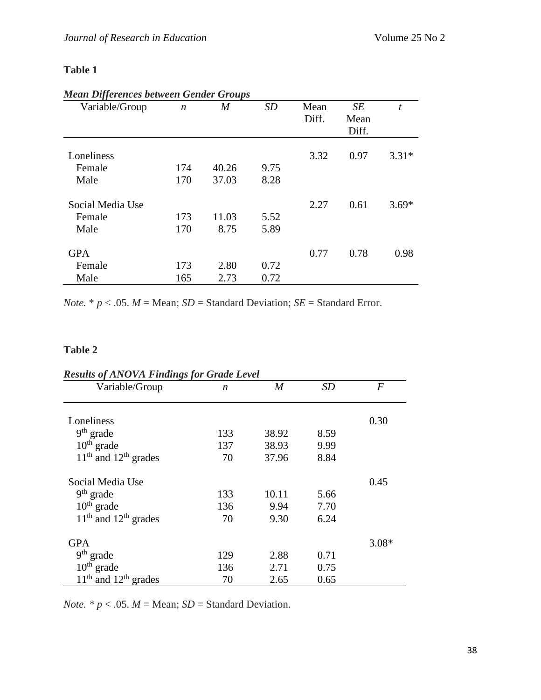## **Table 1**

| Variable/Group   | $\boldsymbol{n}$ | $\boldsymbol{M}$ | <b>SD</b> | Mean  | SE    | t       |
|------------------|------------------|------------------|-----------|-------|-------|---------|
|                  |                  |                  |           | Diff. | Mean  |         |
|                  |                  |                  |           |       | Diff. |         |
| Loneliness       |                  |                  |           | 3.32  | 0.97  | $3.31*$ |
| Female           | 174              | 40.26            | 9.75      |       |       |         |
|                  |                  |                  |           |       |       |         |
| Male             | 170              | 37.03            | 8.28      |       |       |         |
| Social Media Use |                  |                  |           | 2.27  | 0.61  | $3.69*$ |
| Female           | 173              | 11.03            | 5.52      |       |       |         |
| Male             | 170              | 8.75             | 5.89      |       |       |         |
| <b>GPA</b>       |                  |                  |           | 0.77  | 0.78  | 0.98    |
| Female           | 173              | 2.80             | 0.72      |       |       |         |
| Male             | 165              | 2.73             | 0.72      |       |       |         |

## *Mean Differences between Gender Groups*

*Note.*  $* p < .05$ . *M* = Mean; *SD* = Standard Deviation; *SE* = Standard Error.

# **Table 2**

| <b>Results of ANOVA Findings for Grade Level</b> |     |       |      |         |  |  |
|--------------------------------------------------|-----|-------|------|---------|--|--|
| Variable/Group                                   | n   | M     | SD   | F       |  |  |
| Loneliness                                       |     |       |      | 0.30    |  |  |
| $9th$ grade                                      | 133 | 38.92 | 8.59 |         |  |  |
| $10th$ grade                                     | 137 | 38.93 | 9.99 |         |  |  |
| $11th$ and $12th$ grades                         | 70  | 37.96 | 8.84 |         |  |  |
| Social Media Use                                 |     |       |      | 0.45    |  |  |
| $9th$ grade                                      | 133 | 10.11 | 5.66 |         |  |  |
| $10th$ grade                                     | 136 | 9.94  | 7.70 |         |  |  |
| $11th$ and $12th$ grades                         | 70  | 9.30  | 6.24 |         |  |  |
| <b>GPA</b>                                       |     |       |      | $3.08*$ |  |  |
| $9th$ grade                                      | 129 | 2.88  | 0.71 |         |  |  |
| $10th$ grade                                     | 136 | 2.71  | 0.75 |         |  |  |
| $11th$ and $12th$ grades                         | 70  | 2.65  | 0.65 |         |  |  |

*Results of ANOVA Findings for Grade Level*

*Note.*  $* p < .05$ *. M* = Mean; *SD* = Standard Deviation.